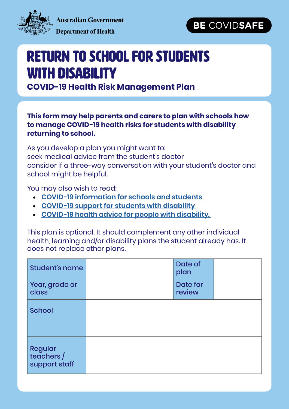

**Australian Government** 



#### **Department of Health**

# Return to School for Students with Disability

**COVID-19 Health Risk Management Plan**

### **This form may help parents and carers to plan with schools how to manage COVID-19 health risks for students with disability returning to school.**

As you develop a plan you might want to: seek medical advice from the student's doctor consider if a three-way conversation with your student's doctor and school might be helpful.

You may also wish to read:

- **[COVID-19 information for schools and students](http://www.dese.gov.au/covid-19/schools)**
- **[COVID-19 support for students with disability](https://www.dese.gov.au/covid-19/schools/support-students-disability)**
- **[COVID-19 health advice for people with disability.](https://www.health.gov.au/news/health-alerts/novel-coronavirus-2019-ncov-health-alert/advice-for-people-at-risk-of-coronavirus-covid-19/coronavirus-covid-19-advice-for-people-with-disability)**

This plan is optional. It should complement any other individual health, learning and/or disability plans the student already has. It does not replace other plans.

| Student's name                         | Date of<br>plan           |  |
|----------------------------------------|---------------------------|--|
| Year, grade or<br><b>class</b>         | <b>Date for</b><br>review |  |
| <b>School</b>                          |                           |  |
| Regular<br>teachers /<br>support staff |                           |  |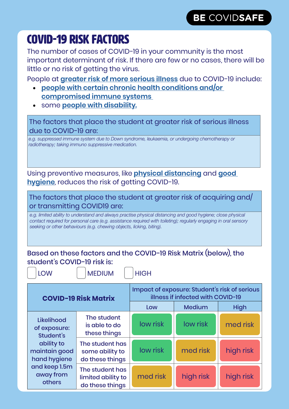### COVID-19 RISK FACTORS

The number of cases of COVID-19 in your community is the most important determinant of risk. If there are few or no cases, there will be little or no risk of getting the virus.

People at **[greater risk of more serious illness](https://www.health.gov.au/news/health-alerts/novel-coronavirus-2019-ncov-health-alert/advice-for-people-at-risk-of-coronavirus-covid-19)** due to COVID-19 include:

- **[people with certain chronic health conditions and/or](https://www.health.gov.au/news/health-alerts/novel-coronavirus-2019-ncov-health-alert/advice-for-people-at-risk-of-coronavirus-covid-19/coronavirus-covid-19-advice-for-people-with-chronic-health-conditions)  [compromised immune systems](https://www.health.gov.au/news/health-alerts/novel-coronavirus-2019-ncov-health-alert/advice-for-people-at-risk-of-coronavirus-covid-19/coronavirus-covid-19-advice-for-people-with-chronic-health-conditions)**
- some **[people with disability.](https://www.health.gov.au/news/health-alerts/novel-coronavirus-2019-ncov-health-alert/advice-for-people-at-risk-of-coronavirus-covid-19/coronavirus-covid-19-advice-for-people-with-disability)**

The factors that place the student at greater risk of serious illness due to COVID-19 are:

*e.g. suppressed immune system due to Down syndrome, leukaemia, or undergoing chemotherapy or radiotherapy; taking immuno suppressive medication.*

Using preventive measures, like **[physical distancing](https://www.health.gov.au/news/health-alerts/novel-coronavirus-2019-ncov-health-alert/how-to-protect-yourself-and-others-from-coronavirus-covid-19/physical-distancing-for-coronavirus-covid-19)** and **[good](https://www.health.gov.au/news/health-alerts/novel-coronavirus-2019-ncov-health-alert/how-to-protect-yourself-and-others-from-coronavirus-covid-19/good-hygiene-for-coronavirus-covid-19)  [hygiene](https://www.health.gov.au/news/health-alerts/novel-coronavirus-2019-ncov-health-alert/how-to-protect-yourself-and-others-from-coronavirus-covid-19/good-hygiene-for-coronavirus-covid-19)**, reduces the risk of getting COVID-19.

The factors that place the student at greater risk of acquiring and/ or transmitting COVID19 are:

*e.g. limited ability to understand and always practise physical distancing and good hygiene; close physical contact required for personal care (e.g. assistance required with toileting); regularly engaging in oral sensory seeking or other behaviours (e.g. chewing objects, licking, biting).*

Based on these factors and the COVID-19 Risk Matrix (below), the student's COVID-19 risk is:

LOW | MEDIUM | HIGH

| <b>COVID-19 Risk Matrix</b>                                                                                                    |                                                          | Impact of exposure: Student's risk of serious<br>illness if infected with COVID-19 |           |             |
|--------------------------------------------------------------------------------------------------------------------------------|----------------------------------------------------------|------------------------------------------------------------------------------------|-----------|-------------|
|                                                                                                                                |                                                          | Low                                                                                | Medium    | <b>High</b> |
| Likelihood<br>of exposure:<br>Student's<br>ability to<br>maintain good<br>hand hygiene<br>and keep 1.5m<br>away from<br>others | The student<br>is able to do<br>these things             | low risk                                                                           | low risk  | med risk    |
|                                                                                                                                | The student has<br>some ability to<br>do these things    | low risk                                                                           | med risk  | high risk   |
|                                                                                                                                | The student has<br>limited ability to<br>do these things | med risk                                                                           | high risk | high risk   |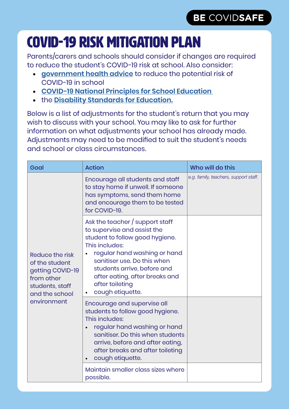# COVID-19 RISK MITIGATION PLAN

Parents/carers and schools should consider if changes are required to reduce the student's COVID-19 risk at school. Also consider:

- **[government health advice](https://www.health.gov.au/news/australian-health-protection-principal-committee-ahppc-advice-on-reducing-the-potential-risk-of-covid-19-transmission-in-schools-24-april-2020)** to reduce the potential risk of COVID-19 in school
- **[COVID-19 National Principles for School Education](https://www.dese.gov.au/covid-19/schools/national-principles-for-school-education)**
- the **[Disability Standards for Education.](https://www.education.gov.au/disability-standards-education-2005)**

Below is a list of adjustments for the student's return that you may wish to discuss with your school. You may like to ask for further information on what adjustments your school has already made. Adjustments may need to be modified to suit the student's needs and school or class circumstances.

| Goal                                                                                                                    | <b>Action</b>                                                                                                                                                                                                                                                                              | Who will do this                      |
|-------------------------------------------------------------------------------------------------------------------------|--------------------------------------------------------------------------------------------------------------------------------------------------------------------------------------------------------------------------------------------------------------------------------------------|---------------------------------------|
| Reduce the risk<br>of the student<br>getting COVID-19<br>from other<br>students, staff<br>and the school<br>environment | Encourage all students and staff<br>to stay home if unwell. If someone<br>has symptoms, send them home<br>and encourage them to be tested<br>for COVID-19.                                                                                                                                 | e.g. family, teachers, support staff. |
|                                                                                                                         | Ask the teacher / support staff<br>to supervise and assist the<br>student to follow good hygiene.<br>This includes:<br>regular hand washing or hand<br>sanitiser use. Do this when<br>students arrive, before and<br>after eating, after breaks and<br>after toileting<br>cough etiquette. |                                       |
|                                                                                                                         | Encourage and supervise all<br>students to follow good hygiene.<br>This includes:<br>regular hand washing or hand<br>sanitiser. Do this when students<br>arrive, before and after eating,<br>after breaks and after toileting<br>cough etiquette.                                          |                                       |
|                                                                                                                         | Maintain smaller class sizes where<br>possible.                                                                                                                                                                                                                                            |                                       |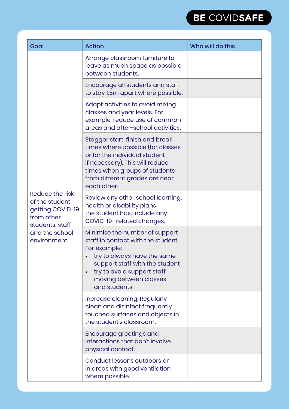

| Goal                                                                                                                    | <b>Action</b>                                                                                                                                                                                                                               | Who will do this |
|-------------------------------------------------------------------------------------------------------------------------|---------------------------------------------------------------------------------------------------------------------------------------------------------------------------------------------------------------------------------------------|------------------|
| Reduce the risk<br>of the student<br>getting COVID-19<br>from other<br>students, staff<br>and the school<br>environment | Arrange classroom furniture to<br>leave as much space as possible<br>between students.                                                                                                                                                      |                  |
|                                                                                                                         | Encourage all students and staff<br>to stay 1.5m apart where possible.                                                                                                                                                                      |                  |
|                                                                                                                         | Adapt activities to avoid mixing<br>classes and year levels. For<br>example, reduce use of common<br>areas and after-school activities.                                                                                                     |                  |
|                                                                                                                         | Stagger start, finish and break<br>times where possible (for classes<br>or for the individual student<br>if necessary). This will reduce<br>times when groups of students<br>from different grades are near<br>each other.                  |                  |
|                                                                                                                         | Review any other school learning,<br>health or disability plans<br>the student has. Include any<br>COVID-19-related changes.                                                                                                                |                  |
|                                                                                                                         | Minimise the number of support<br>staff in contact with the student.<br>For example:<br>try to always have the same<br>support staff with the student<br>try to avoid support staff<br>$\bullet$<br>moving between classes<br>and students. |                  |
|                                                                                                                         | Increase cleaning. Regularly<br>clean and disinfect frequently<br>touched surfaces and objects in<br>the student's classroom.                                                                                                               |                  |
|                                                                                                                         | Encourage greetings and<br>interactions that don't involve<br>physical contact.                                                                                                                                                             |                  |
|                                                                                                                         | Conduct lessons outdoors or<br>in areas with good ventilation<br>where possible.                                                                                                                                                            |                  |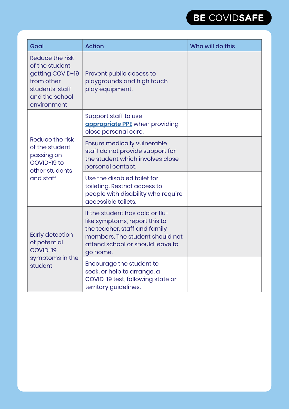

| Goal                                                                                                                    | <b>Action</b>                                                                                                                                                                        | Who will do this |
|-------------------------------------------------------------------------------------------------------------------------|--------------------------------------------------------------------------------------------------------------------------------------------------------------------------------------|------------------|
| Reduce the risk<br>of the student<br>getting COVID-19<br>from other<br>students, staff<br>and the school<br>environment | Prevent public access to<br>playgrounds and high touch<br>play equipment.                                                                                                            |                  |
| Reduce the risk<br>of the student<br>passing on<br>COVID-19 to<br>other students<br>and staff                           | Support staff to use<br><b>appropriate PPE</b> when providing<br>close personal care.                                                                                                |                  |
|                                                                                                                         | <b>Ensure medically vulnerable</b><br>staff do not provide support for<br>the student which involves close<br>personal contact.                                                      |                  |
|                                                                                                                         | Use the disabled toilet for<br>toileting. Restrict access to<br>people with disability who require<br>accessible toilets.                                                            |                  |
| Early detection<br>of potential<br>COVID-19<br>symptoms in the<br>student                                               | If the student has cold or flu-<br>like symptoms, report this to<br>the teacher, staff and family<br>members. The student should not<br>attend school or should leave to<br>go home. |                  |
|                                                                                                                         | Encourage the student to<br>seek, or help to arrange, a<br>COVID-19 test, following state or<br>territory guidelines.                                                                |                  |